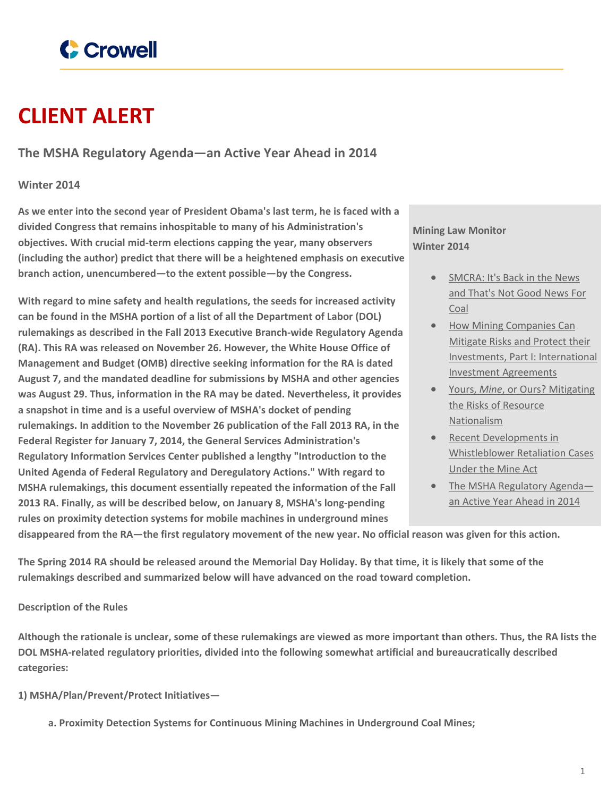

# **CLIENT ALERT**

**The MSHA Regulatory Agenda—an Active Year Ahead in 2014**

# **Winter 2014**

**As we enter into the second year of President Obama's last term, he is faced with a divided Congress that remains inhospitable to many of his Administration's objectives. With crucial mid-term elections capping the year, many observers (including the author) predict that there will be a heightened emphasis on executive branch action, unencumbered—to the extent possible—by the Congress.**

**With regard to mine safety and health regulations, the seeds for increased activity can be found in the MSHA portion of a list of all the Department of Labor (DOL) rulemakings as described in the Fall 2013 Executive Branch-wide Regulatory Agenda (RA). This RA was released on November 26. However, the White House Office of Management and Budget (OMB) directive seeking information for the RA is dated August 7, and the mandated deadline for submissions by MSHA and other agencies was August 29. Thus, information in the RA may be dated. Nevertheless, it provides a snapshot in time and is a useful overview of MSHA's docket of pending rulemakings. In addition to the November 26 publication of the Fall 2013 RA, in the Federal Register for January 7, 2014, the General Services Administration's Regulatory Information Services Center published a lengthy "Introduction to the United Agenda of Federal Regulatory and Deregulatory Actions." With regard to MSHA rulemakings, this document essentially repeated the information of the Fall 2013 RA. Finally, as will be described below, on January 8, MSHA's long-pending rules on proximity detection systems for mobile machines in underground mines**

**Mining Law Monitor Winter 2014**

- [SMCRA:](https://www.crowell.com/NewsEvents/All/SMCRA-Its-Back-in-the-News-and-Thats-Not-Good-News-For-Coal) It's Back in the News and [That's](https://www.crowell.com/NewsEvents/All/SMCRA-Its-Back-in-the-News-and-Thats-Not-Good-News-For-Coal) Not Good News For [Coal](https://www.crowell.com/NewsEvents/All/SMCRA-Its-Back-in-the-News-and-Thats-Not-Good-News-For-Coal)
- How Mining [Companies](https://www.crowell.com/NewsEvents/All/How-Mining-Companies-Can-Mitigate-Risks-and-Protect-their-Investments-Part-I-International-Investment-Agreements) Can [Mitigate](https://www.crowell.com/NewsEvents/All/How-Mining-Companies-Can-Mitigate-Risks-and-Protect-their-Investments-Part-I-International-Investment-Agreements) Risks and Protect their Investments, Part I: [International](https://www.crowell.com/NewsEvents/All/How-Mining-Companies-Can-Mitigate-Risks-and-Protect-their-Investments-Part-I-International-Investment-Agreements) Investment [Agreements](https://www.crowell.com/NewsEvents/All/How-Mining-Companies-Can-Mitigate-Risks-and-Protect-their-Investments-Part-I-International-Investment-Agreements)
- Yours, *Mine*, or Ours? [Mitigating](https://www.crowell.com/NewsEvents/All/Yours-Mine-or-Ours-Mitigating-the-Risks-of-Resource-Nationalism) the Risks of [Resource](https://www.crowell.com/NewsEvents/All/Yours-Mine-or-Ours-Mitigating-the-Risks-of-Resource-Nationalism) [Nationalism](https://www.crowell.com/NewsEvents/All/Yours-Mine-or-Ours-Mitigating-the-Risks-of-Resource-Nationalism)
- Recent [Developments](https://www.crowell.com/NewsEvents/All/Recent-Developments-in-Whistleblower-Retaliation-Cases-Under-the-Mine-Act) in [Whistleblower](https://www.crowell.com/NewsEvents/All/Recent-Developments-in-Whistleblower-Retaliation-Cases-Under-the-Mine-Act) Retaliation Cases [Under](https://www.crowell.com/NewsEvents/All/Recent-Developments-in-Whistleblower-Retaliation-Cases-Under-the-Mine-Act) the Mine Act
- The MSHA [Regulatory](https://www.crowell.com/NewsEvents/All/The-MSHA-Regulatory-Agenda-an-Active-Year-Ahead-in-2014) Agend[a](https://www.crowell.com/NewsEvents/All/The-MSHA-Regulatory-Agenda-an-Active-Year-Ahead-in-2014) an Active Year [Ahead](https://www.crowell.com/NewsEvents/All/The-MSHA-Regulatory-Agenda-an-Active-Year-Ahead-in-2014) in 2014

disappeared from the RA—the first regulatory movement of the new year. No official reason was given for this action.

The Spring 2014 RA should be released around the Memorial Day Holiday. By that time, it is likely that some of the **rulemakings described and summarized below will have advanced on the road toward completion.**

## **Description of the Rules**

Although the rationale is unclear, some of these rulemakings are viewed as more important than others. Thus, the RA lists the **DOL MSHA-related regulatory priorities, divided into the following somewhat artificial and bureaucratically described categories:**

**1) MSHA/Plan/Prevent/Protect Initiatives—**

**a. Proximity Detection Systems for Continuous Mining Machines in Underground Coal Mines;**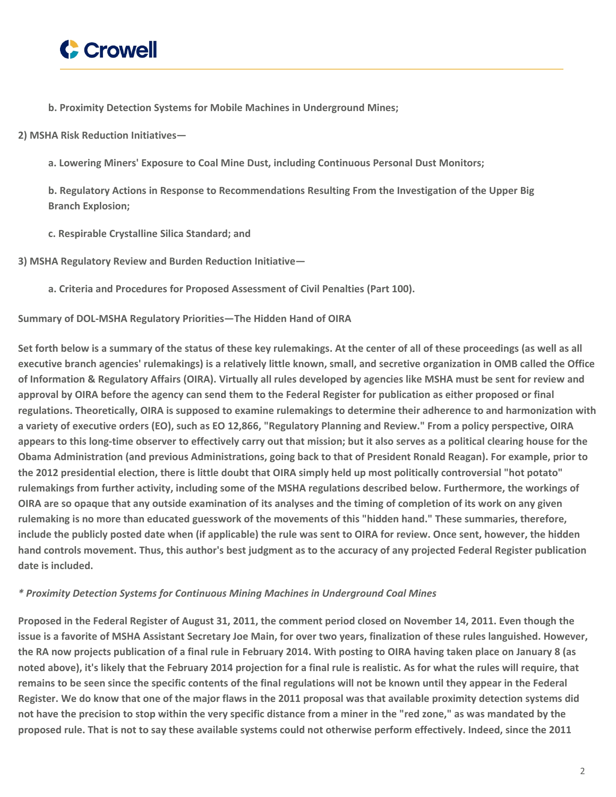

**b. Proximity Detection Systems for Mobile Machines in Underground Mines;**

**2) MSHA Risk Reduction Initiatives—**

**a. Lowering Miners' Exposure to Coal Mine Dust, including Continuous Personal Dust Monitors;**

**b. Regulatory Actions in Response to Recommendations Resulting From the Investigation of the Upper Big Branch Explosion;**

**c. Respirable Crystalline Silica Standard; and**

**3) MSHA Regulatory Review and Burden Reduction Initiative—**

**a. Criteria and Procedures for Proposed Assessment of Civil Penalties (Part 100).**

**Summary of DOL-MSHA Regulatory Priorities—The Hidden Hand of OIRA**

Set forth below is a summary of the status of these key rulemakings. At the center of all of these proceedings (as well as all executive branch agencies' rulemakings) is a relatively little known, small, and secretive organization in OMB called the Office of Information & Regulatory Affairs (OIRA). Virtually all rules developed by agencies like MSHA must be sent for review and approval by OIRA before the agency can send them to the Federal Register for publication as either proposed or final regulations. Theoretically, OIRA is supposed to examine rulemakings to determine their adherence to and harmonization with a variety of executive orders (EO), such as EO 12,866, "Regulatory Planning and Review." From a policy perspective, OIRA appears to this long-time observer to effectively carry out that mission; but it also serves as a political clearing house for the Obama Administration (and previous Administrations, going back to that of President Ronald Reagan). For example, prior to the 2012 presidential election, there is little doubt that OIRA simply held up most politically controversial "hot potato" rulemakings from further activity, including some of the MSHA regulations described below. Furthermore, the workings of OIRA are so opaque that any outside examination of its analyses and the timing of completion of its work on any given rulemaking is no more than educated guesswork of the movements of this "hidden hand." These summaries, therefore, include the publicly posted date when (if applicable) the rule was sent to OIRA for review. Once sent, however, the hidden hand controls movement. Thus, this author's best judgment as to the accuracy of any projected Federal Register publication **date is included.**

#### *\* Proximity Detection Systems for Continuous Mining Machines in Underground Coal Mines*

Proposed in the Federal Register of August 31, 2011, the comment period closed on November 14, 2011. Even though the issue is a favorite of MSHA Assistant Secretary Joe Main, for over two years, finalization of these rules languished. However, the RA now projects publication of a final rule in February 2014. With posting to OIRA having taken place on January 8 (as noted above), it's likely that the February 2014 projection for a final rule is realistic. As for what the rules will require, that remains to be seen since the specific contents of the final regulations will not be known until they appear in the Federal Register. We do know that one of the major flaws in the 2011 proposal was that available proximity detection systems did not have the precision to stop within the very specific distance from a miner in the "red zone," as was mandated by the proposed rule. That is not to say these available systems could not otherwise perform effectively. Indeed, since the 2011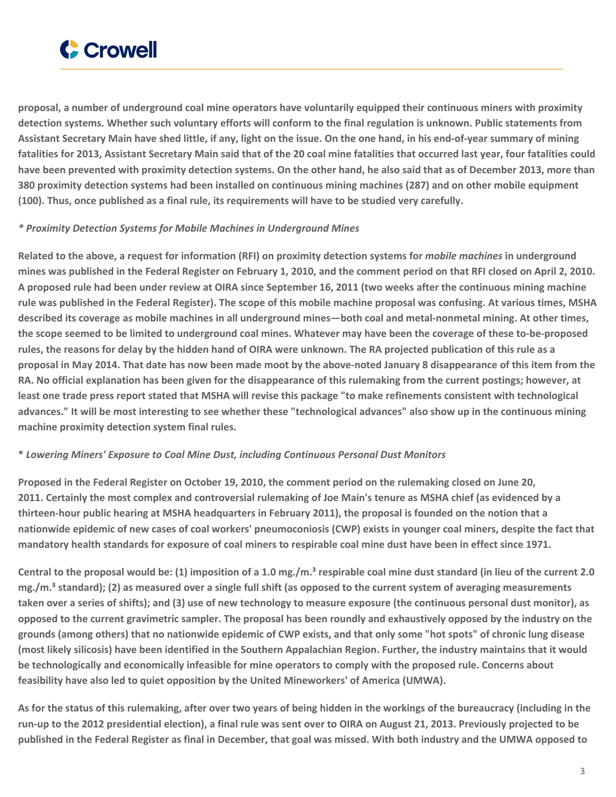

proposal, a number of underground coal mine operators have voluntarily equipped their continuous miners with proximity detection systems. Whether such voluntary efforts will conform to the final regulation is unknown. Public statements from Assistant Secretary Main have shed little, if any, light on the issue. On the one hand, in his end-of-year summary of mining fatalities for 2013, Assistant Secretary Main said that of the 20 coal mine fatalities that occurred last year, four fatalities could have been prevented with proximity detection systems. On the other hand, he also said that as of December 2013, more than 380 proximity detection systems had been installed on continuous mining machines (287) and on other mobile equipment **(100). Thus, once published as a final rule, its requirements will have to be studied very carefully.**

#### *\* Proximity Detection Systems for Mobile Machines in Underground Mines*

Related to the above, a request for information (RFI) on proximity detection systems for *mobile machines* in underground mines was published in the Federal Register on February 1, 2010, and the comment period on that RFI closed on April 2, 2010. A proposed rule had been under review at OIRA since September 16, 2011 (two weeks after the continuous mining machine rule was published in the Federal Register). The scope of this mobile machine proposal was confusing. At various times, MSHA described its coverage as mobile machines in all underground mines—both coal and metal-nonmetal mining. At other times, the scope seemed to be limited to underground coal mines. Whatever may have been the coverage of these to-be-proposed rules, the reasons for delay by the hidden hand of OIRA were unknown. The RA projected publication of this rule as a proposal in May 2014. That date has now been made moot by the above-noted January 8 disappearance of this item from the RA. No official explanation has been given for the disappearance of this rulemaking from the current postings; however, at least one trade press report stated that MSHA will revise this package "to make refinements consistent with technological advances." It will be most interesting to see whether these "technological advances" also show up in the continuous mining **machine proximity detection system final rules.**

#### **\*** *Lowering Miners' Exposure to Coal Mine Dust, including Continuous Personal Dust Monitors*

Proposed in the Federal Register on October 19, 2010, the comment period on the rulemaking closed on June 20, 2011. Certainly the most complex and controversial rulemaking of Joe Main's tenure as MSHA chief (as evidenced by a thirteen-hour public hearing at MSHA headquarters in February 2011), the proposal is founded on the notion that a nationwide epidemic of new cases of coal workers' pneumoconiosis (CWP) exists in younger coal miners, despite the fact that mandatory health standards for exposure of coal miners to respirable coal mine dust have been in effect since 1971.

Central to the proposal would be: (1) imposition of a 1.0 mg./m.<sup>3</sup> respirable coal mine dust standard (in lieu of the current 2.0  $mg./m<sup>3</sup>$  standard); (2) as measured over a single full shift (as opposed to the current system of averaging measurements taken over a series of shifts); and (3) use of new technology to measure exposure (the continuous personal dust monitor), as opposed to the current gravimetric sampler. The proposal has been roundly and exhaustively opposed by the industry on the grounds (among others) that no nationwide epidemic of CWP exists, and that only some "hot spots" of chronic lung disease (most likely silicosis) have been identified in the Southern Appalachian Region. Further, the industry maintains that it would be technologically and economically infeasible for mine operators to comply with the proposed rule. Concerns about **feasibility have also led to quiet opposition by the United Mineworkers' of America (UMWA).**

As for the status of this rulemaking, after over two years of being hidden in the workings of the bureaucracy (including in the run-up to the 2012 presidential election), a final rule was sent over to OIRA on August 21, 2013. Previously projected to be published in the Federal Register as final in December, that goal was missed. With both industry and the UMWA opposed to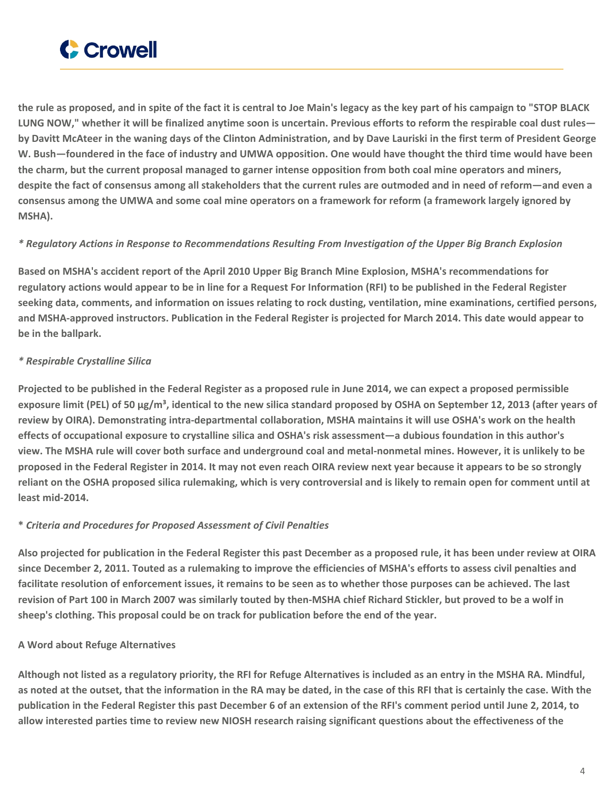

the rule as proposed, and in spite of the fact it is central to Joe Main's legacy as the key part of his campaign to "STOP BLACK LUNG NOW," whether it will be finalized anytime soon is uncertain. Previous efforts to reform the respirable coal dust rulesby Davitt McAteer in the waning days of the Clinton Administration, and by Dave Lauriski in the first term of President George W. Bush-foundered in the face of industry and UMWA opposition. One would have thought the third time would have been the charm, but the current proposal managed to garner intense opposition from both coal mine operators and miners, despite the fact of consensus among all stakeholders that the current rules are outmoded and in need of reform—and even a consensus among the UMWA and some coal mine operators on a framework for reform (a framework largely ignored by **MSHA).**

## \* Regulatory Actions in Response to Recommendations Resulting From Investigation of the Upper Big Branch Explosion

Based on MSHA's accident report of the April 2010 Upper Big Branch Mine Explosion, MSHA's recommendations for regulatory actions would appear to be in line for a Request For Information (RFI) to be published in the Federal Register seeking data, comments, and information on issues relating to rock dusting, ventilation, mine examinations, certified persons, and MSHA-approved instructors. Publication in the Federal Register is projected for March 2014. This date would appear to **be in the ballpark.**

## *\* Respirable Crystalline Silica*

Projected to be published in the Federal Register as a proposed rule in June 2014, we can expect a proposed permissible exposure limit (PEL) of 50 µg/m<sup>3</sup>, identical to the new silica standard proposed by OSHA on September 12, 2013 (after years of review by OIRA). Demonstrating intra-departmental collaboration, MSHA maintains it will use OSHA's work on the health effects of occupational exposure to crystalline silica and OSHA's risk assessment—a dubious foundation in this author's view. The MSHA rule will cover both surface and underground coal and metal-nonmetal mines. However, it is unlikely to be proposed in the Federal Register in 2014. It may not even reach OIRA review next year because it appears to be so strongly reliant on the OSHA proposed silica rulemaking, which is very controversial and is likely to remain open for comment until at **least mid-2014.**

## **\*** *Criteria and Procedures for Proposed Assessment of Civil Penalties*

Also projected for publication in the Federal Register this past December as a proposed rule, it has been under review at OIRA since December 2, 2011. Touted as a rulemaking to improve the efficiencies of MSHA's efforts to assess civil penalties and facilitate resolution of enforcement issues, it remains to be seen as to whether those purposes can be achieved. The last revision of Part 100 in March 2007 was similarly touted by then-MSHA chief Richard Stickler, but proved to be a wolf in **sheep's clothing. This proposal could be on track for publication before the end of the year.**

## **A Word about Refuge Alternatives**

Although not listed as a regulatory priority, the RFI for Refuge Alternatives is included as an entry in the MSHA RA. Mindful, as noted at the outset, that the information in the RA may be dated, in the case of this RFI that is certainly the case. With the publication in the Federal Register this past December 6 of an extension of the RFI's comment period until June 2, 2014, to allow interested parties time to review new NIOSH research raising significant questions about the effectiveness of the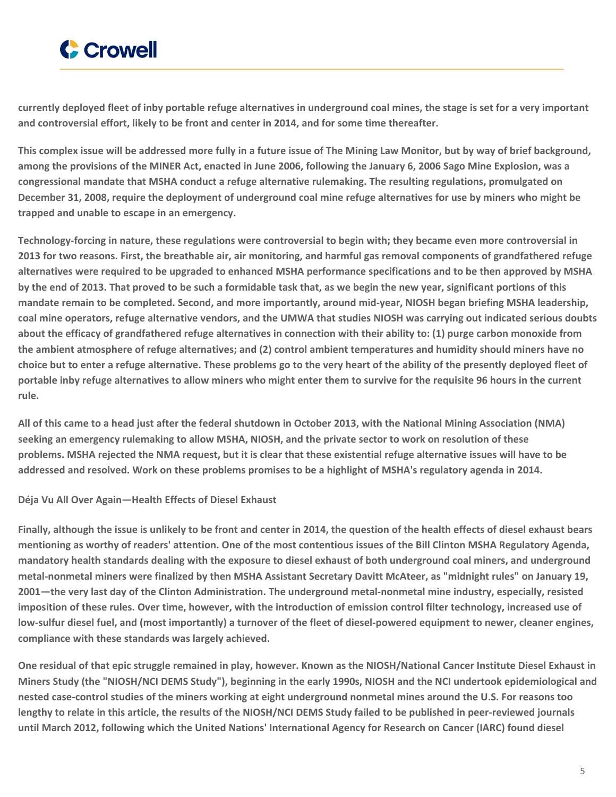

currently deployed fleet of inby portable refuge alternatives in underground coal mines, the stage is set for a very important **and controversial effort, likely to be front and center in 2014, and for some time thereafter.**

This complex issue will be addressed more fully in a future issue of The Mining Law Monitor, but by way of brief background, among the provisions of the MINER Act, enacted in June 2006, following the January 6, 2006 Sago Mine Explosion, was a **congressional mandate that MSHA conduct a refuge alternative rulemaking. The resulting regulations, promulgated on** December 31, 2008, require the deployment of underground coal mine refuge alternatives for use by miners who might be **trapped and unable to escape in an emergency.**

Technology-forcing in nature, these regulations were controversial to begin with; they became even more controversial in 2013 for two reasons. First, the breathable air, air monitoring, and harmful gas removal components of grandfathered refuge alternatives were required to be upgraded to enhanced MSHA performance specifications and to be then approved by MSHA by the end of 2013. That proved to be such a formidable task that, as we begin the new year, significant portions of this mandate remain to be completed. Second, and more importantly, around mid-year, NIOSH began briefing MSHA leadership, coal mine operators, refuge alternative vendors, and the UMWA that studies NIOSH was carrying out indicated serious doubts about the efficacy of grandfathered refuge alternatives in connection with their ability to: (1) purge carbon monoxide from the ambient atmosphere of refuge alternatives; and (2) control ambient temperatures and humidity should miners have no choice but to enter a refuge alternative. These problems go to the very heart of the ability of the presently deployed fleet of portable inby refuge alternatives to allow miners who might enter them to survive for the requisite 96 hours in the current **rule.**

All of this came to a head just after the federal shutdown in October 2013, with the National Mining Association (NMA) seeking an emergency rulemaking to allow MSHA, NIOSH, and the private sector to work on resolution of these problems. MSHA rejected the NMA request, but it is clear that these existential refuge alternative issues will have to be addressed and resolved. Work on these problems promises to be a highlight of MSHA's regulatory agenda in 2014.

#### **Déja Vu All Over Again—Health Effects of Diesel Exhaust**

Finally, although the issue is unlikely to be front and center in 2014, the question of the health effects of diesel exhaust bears mentioning as worthy of readers' attention. One of the most contentious issues of the Bill Clinton MSHA Regulatory Agenda, mandatory health standards dealing with the exposure to diesel exhaust of both underground coal miners, and underground metal-nonmetal miners were finalized by then MSHA Assistant Secretary Davitt McAteer, as "midnight rules" on January 19, 2001—the very last day of the Clinton Administration. The underground metal-nonmetal mine industry, especially, resisted imposition of these rules. Over time, however, with the introduction of emission control filter technology, increased use of low-sulfur diesel fuel, and (most importantly) a turnover of the fleet of diesel-powered equipment to newer, cleaner engines, **compliance with these standards was largely achieved.**

One residual of that epic struggle remained in play, however. Known as the NIOSH/National Cancer Institute Diesel Exhaust in Miners Study (the "NIOSH/NCI DEMS Study"), beginning in the early 1990s, NIOSH and the NCI undertook epidemiological and nested case-control studies of the miners working at eight underground nonmetal mines around the U.S. For reasons too lengthy to relate in this article, the results of the NIOSH/NCI DEMS Study failed to be published in peer-reviewed journals until March 2012, following which the United Nations' International Agency for Research on Cancer (IARC) found diesel